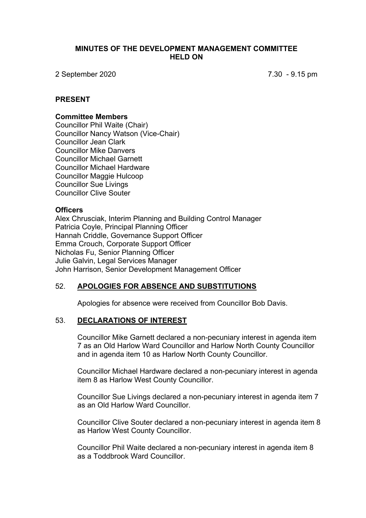#### **MINUTES OF THE DEVELOPMENT MANAGEMENT COMMITTEE HELD ON**

2 September 2020 7.30 - 9.15 pm

#### **PRESENT**

#### **Committee Members**

Councillor Phil Waite (Chair) Councillor Nancy Watson (Vice-Chair) Councillor Jean Clark Councillor Mike Danvers Councillor Michael Garnett Councillor Michael Hardware Councillor Maggie Hulcoop Councillor Sue Livings Councillor Clive Souter

#### **Officers**

Alex Chrusciak, Interim Planning and Building Control Manager Patricia Coyle, Principal Planning Officer Hannah Criddle, Governance Support Officer Emma Crouch, Corporate Support Officer Nicholas Fu, Senior Planning Officer Julie Galvin, Legal Services Manager John Harrison, Senior Development Management Officer

#### 52. **APOLOGIES FOR ABSENCE AND SUBSTITUTIONS**

Apologies for absence were received from Councillor Bob Davis.

#### 53. **DECLARATIONS OF INTEREST**

Councillor Mike Garnett declared a non-pecuniary interest in agenda item 7 as an Old Harlow Ward Councillor and Harlow North County Councillor and in agenda item 10 as Harlow North County Councillor.

Councillor Michael Hardware declared a non-pecuniary interest in agenda item 8 as Harlow West County Councillor.

Councillor Sue Livings declared a non-pecuniary interest in agenda item 7 as an Old Harlow Ward Councillor.

Councillor Clive Souter declared a non-pecuniary interest in agenda item 8 as Harlow West County Councillor.

Councillor Phil Waite declared a non-pecuniary interest in agenda item 8 as a Toddbrook Ward Councillor.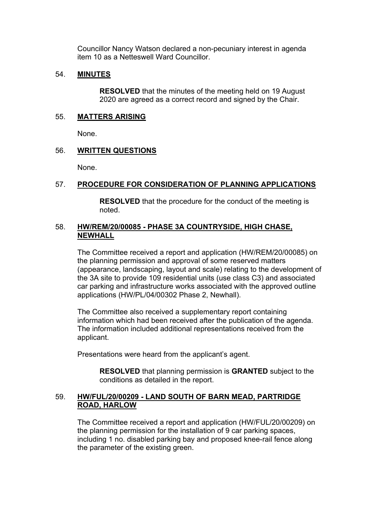Councillor Nancy Watson declared a non-pecuniary interest in agenda item 10 as a Netteswell Ward Councillor.

## 54. **MINUTES**

**RESOLVED** that the minutes of the meeting held on 19 August 2020 are agreed as a correct record and signed by the Chair.

#### 55. **MATTERS ARISING**

None.

## 56. **WRITTEN QUESTIONS**

None.

## 57. **PROCEDURE FOR CONSIDERATION OF PLANNING APPLICATIONS**

**RESOLVED** that the procedure for the conduct of the meeting is noted.

## 58. **HW/REM/20/00085 - PHASE 3A COUNTRYSIDE, HIGH CHASE, NEWHALL**

The Committee received a report and application (HW/REM/20/00085) on the planning permission and approval of some reserved matters (appearance, landscaping, layout and scale) relating to the development of the 3A site to provide 109 residential units (use class C3) and associated car parking and infrastructure works associated with the approved outline applications (HW/PL/04/00302 Phase 2, Newhall).

The Committee also received a supplementary report containing information which had been received after the publication of the agenda. The information included additional representations received from the applicant.

Presentations were heard from the applicant's agent.

**RESOLVED** that planning permission is **GRANTED** subject to the conditions as detailed in the report.

## 59. **HW/FUL/20/00209 - LAND SOUTH OF BARN MEAD, PARTRIDGE ROAD, HARLOW**

The Committee received a report and application (HW/FUL/20/00209) on the planning permission for the installation of 9 car parking spaces, including 1 no. disabled parking bay and proposed knee-rail fence along the parameter of the existing green.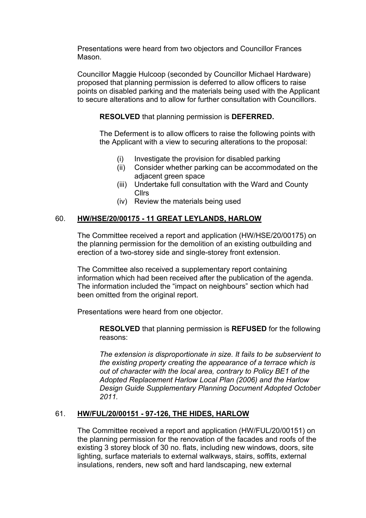Presentations were heard from two objectors and Councillor Frances Mason.

Councillor Maggie Hulcoop (seconded by Councillor Michael Hardware) proposed that planning permission is deferred to allow officers to raise points on disabled parking and the materials being used with the Applicant to secure alterations and to allow for further consultation with Councillors.

**RESOLVED** that planning permission is **DEFERRED.**

The Deferment is to allow officers to raise the following points with the Applicant with a view to securing alterations to the proposal:

- (i) Investigate the provision for disabled parking
- (ii) Consider whether parking can be accommodated on the adjacent green space
- (iii) Undertake full consultation with the Ward and County Cllrs
- (iv) Review the materials being used

## 60. **HW/HSE/20/00175 - 11 GREAT LEYLANDS, HARLOW**

The Committee received a report and application (HW/HSE/20/00175) on the planning permission for the demolition of an existing outbuilding and erection of a two-storey side and single-storey front extension.

The Committee also received a supplementary report containing information which had been received after the publication of the agenda. The information included the "impact on neighbours" section which had been omitted from the original report.

Presentations were heard from one objector.

**RESOLVED** that planning permission is **REFUSED** for the following reasons:

*The extension is disproportionate in size. It fails to be subservient to the existing property creating the appearance of a terrace which is out of character with the local area, contrary to Policy BE1 of the Adopted Replacement Harlow Local Plan (2006) and the Harlow Design Guide Supplementary Planning Document Adopted October 2011.*

## 61. **HW/FUL/20/00151 - 97-126, THE HIDES, HARLOW**

The Committee received a report and application (HW/FUL/20/00151) on the planning permission for the renovation of the facades and roofs of the existing 3 storey block of 30 no. flats, including new windows, doors, site lighting, surface materials to external walkways, stairs, soffits, external insulations, renders, new soft and hard landscaping, new external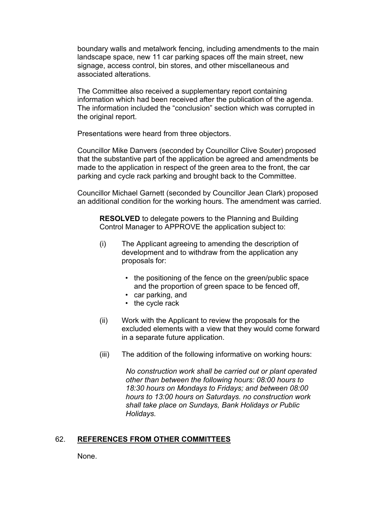boundary walls and metalwork fencing, including amendments to the main landscape space, new 11 car parking spaces off the main street, new signage, access control, bin stores, and other miscellaneous and associated alterations.

The Committee also received a supplementary report containing information which had been received after the publication of the agenda. The information included the "conclusion" section which was corrupted in the original report.

Presentations were heard from three objectors.

Councillor Mike Danvers (seconded by Councillor Clive Souter) proposed that the substantive part of the application be agreed and amendments be made to the application in respect of the green area to the front, the car parking and cycle rack parking and brought back to the Committee.

Councillor Michael Garnett (seconded by Councillor Jean Clark) proposed an additional condition for the working hours. The amendment was carried.

**RESOLVED** to delegate powers to the Planning and Building Control Manager to APPROVE the application subject to:

- (i) The Applicant agreeing to amending the description of development and to withdraw from the application any proposals for:
	- the positioning of the fence on the green/public space and the proportion of green space to be fenced off,
	- car parking, and
	- the cycle rack
- (ii) Work with the Applicant to review the proposals for the excluded elements with a view that they would come forward in a separate future application.
- (iii) The addition of the following informative on working hours:

*No construction work shall be carried out or plant operated other than between the following hours: 08:00 hours to 18:30 hours on Mondays to Fridays; and between 08:00 hours to 13:00 hours on Saturdays. no construction work shall take place on Sundays, Bank Holidays or Public Holidays.*

#### 62. **REFERENCES FROM OTHER COMMITTEES**

None.